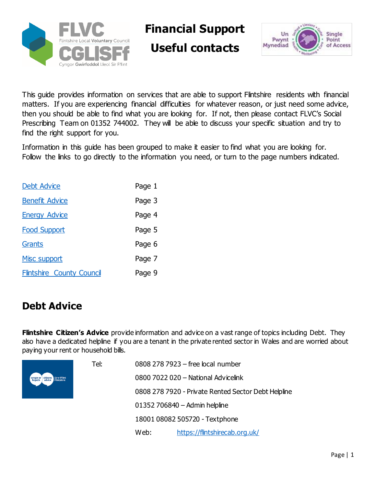

**Financial Support**

**Useful contacts**



This guide provides information on services that are able to support Flintshire residents with financial matters. If you are experiencing financial difficulties for whatever reason, or just need some advice, then you should be able to find what you are looking for. If not, then please contact FLVC's Social Prescribing Team on 01352 744002. They will be able to discuss your specific situation and try to find the right support for you.

Information in this guide has been grouped to make it easier to find what you are looking for. Follow the links to go directly to the information you need, or turn to the page numbers indicated.

| <b>Debt Advice</b>               | Page 1 |
|----------------------------------|--------|
| <b>Benefit Advice</b>            | Page 3 |
| <b>Energy Advice</b>             | Page 4 |
| <b>Food Support</b>              | Page 5 |
| Grants                           | Page 6 |
| Misc support                     | Page 7 |
| <b>Flintshire County Council</b> | Page 9 |

### <span id="page-0-0"></span>**Debt Advice**

**Flintshire Citizen's Advice** provide information and advice on a vast range of topics including Debt. They also have a dedicated helpline if you are a tenant in the private rented sector in Wales and are worried about paying your rent or household bills.



| Tel: |      | 0808 278 7923 - free local number                   |
|------|------|-----------------------------------------------------|
|      |      | 0800 7022 020 - National Advicelink                 |
|      |      | 0808 278 7920 - Private Rented Sector Debt Helpline |
|      |      | $01352706840 -$ Admin helpline                      |
|      |      | 18001 08082 505720 - Textphone                      |
|      | Web: | https://flintshirecab.org.uk/                       |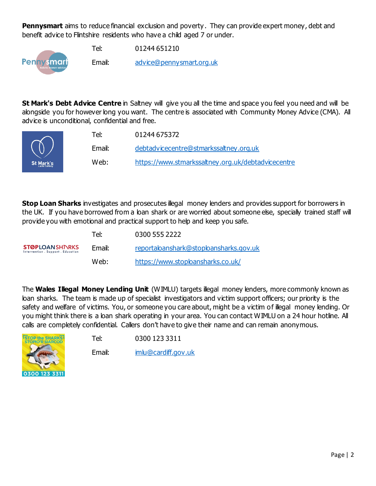**Pennysmart** aims to reduce financial exclusion and poverty. They can provide expert money, debt and benefit advice to Flintshire residents who have a child aged 7 or under.

Tel: 01244 651210



Email: [advice@pennysmart.org.uk](mailto:advice@pennysmart.org.uk)

**St Mark's Debt Advice Centre** in Saltney will give you all the time and space you feel you need and will be alongside you for however long you want. The centre is associated with [Community Money Advice](https://www.communitymoneyadvice.com/) (CMA). All advice is unconditional, confidential and free.

| $\tilde{\phantom{a}}$ | Tel:   | 01244 675372                                       |
|-----------------------|--------|----------------------------------------------------|
|                       | Email: | debtadyicecentre@stmarkssaltney.org.uk             |
| t Mark's              | Web:   | https://www.stmarkssaltney.org.uk/debtadvicecentre |

**Stop Loan Sharks** investigates and prosecutes illegal money lenders and provides support for borrowers in the UK. If you have borrowed from a loan shark or are worried about someone else, specially trained staff will provide you with emotional and practical support to help and keep you safe.

|                                                            | Tel:   | 0300 555 2222                          |
|------------------------------------------------------------|--------|----------------------------------------|
| <b>STØPLOANSHINRKS</b><br>Intervention, Support, Education | Email: | reportaloanshark@stoploansharks.gov.uk |
|                                                            | Web:   | https://www.stoploansharks.co.uk/      |

The **Wales Illegal Money Lending Unit** (WIMLU) targets illegal money lenders, more commonly known as loan sharks. The team is made up of specialist investigators and victim support officers; our priority is the safety and welfare of victims. You, or someone you care about, might be a victim of illegal money lending. Or you might think there is a loan shark operating in your area. You can contact WIMLU on a 24 hour hotline. All calls are completely confidential. Callers don't have to give their name and can remain anonymous.



Tel: 0300 123 3311

Email: [imlu@cardiff.gov.uk](mailto:imlu@cardiff.gov.uk)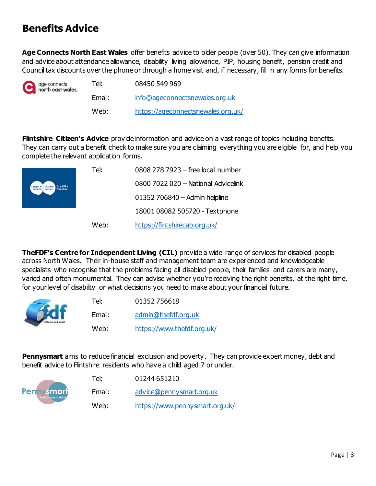# <span id="page-2-0"></span>**Benefits Advice**

**Age Connects North East Wales** offer benefits advice to older people (over 50). They can give information and advice about attendance allowance, disability living allowance, PIP, housing benefit, pension credit and Council tax discounts over the phone or through a home visit and, if necessary, fill in any forms for benefits.

| age connects<br>north east wales. | Tel:   | 08450 549 969                      |
|-----------------------------------|--------|------------------------------------|
|                                   | Email: | info@ageconnectsnewales.org.uk     |
|                                   | Web:   | https://ageconnectsnewales.org.uk/ |

**Flintshire Citizen's Advice** provide information and advice on a vast range of topics including benefits. They can carry out a benefit check to make sure you are claiming everything you are eligible for, and help you complete the relevant application forms.



| Tel: | 0808 278 7923 - free local number   |
|------|-------------------------------------|
|      | 0800 7022 020 - National Advicelink |
|      | 01352 706840 - Admin helpline       |
|      | 18001 08082 505720 - Textphone      |
| Web: | https://flintshirecab.org.uk/       |

**TheFDF's Centre for Independent Living (CIL)** provide a wide range of services for disabled people across North Wales. Their in-house staff and management team are experienced and knowledgeable specialists who recognise that the problems facing all disabled people, their families and carers are many, varied and often monumental. They can advise whether you're receiving the right benefits, at the right time, for your level of disability or what decisions you need to make about your financial future.



| Tel:   | 01352756618                |
|--------|----------------------------|
| Email: | admin@thefdf.org.uk        |
| Web:   | https://www.thefdf.org.uk/ |

**Pennysmart** aims to reduce financial exclusion and poverty. They can provide expert money, debt and benefit advice to Flintshire residents who have a child aged 7 or under.



| Tel:   | 01244 651210                   |
|--------|--------------------------------|
| Email: | advice@pennysmart.org.uk       |
| Web:   | https://www.pennysmart.org.uk/ |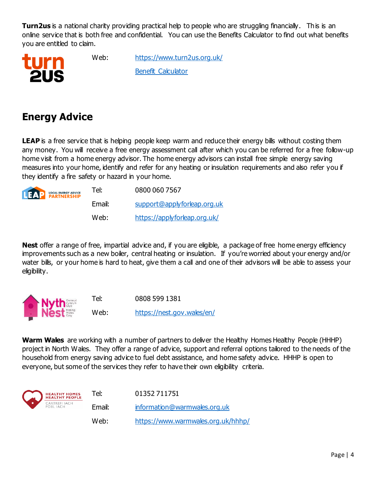**Turn2us** is a national charity providing practical help to people who are struggling financially. This is an online service that is both free and confidential. You can use the Benefits Calculator to find out what benefits you are entitled to claim.



Web: <https://www.turn2us.org.uk/> [Benefit Calculator](https://benefits-calculator-2.turn2us.org.uk/survey/1/aa48e9f9-aa29-4b8e-a823-965d0b7124f8)

# <span id="page-3-0"></span>**Energy Advice**

LEAP is a free service that is helping people keep warm and reduce their energy bills without costing them any money. You will receive a free energy assessment call after which you can be referred for a free follow-up home visit from a home energy advisor. The home energy advisors can install free simple energy saving measures into your home, identify and refer for any heating or insulation requirements and also refer you if they identify a fire safety or hazard in your home.



| Tel:   | 0800 060 7567                |
|--------|------------------------------|
| Email: | support@applyforleap.org.uk  |
| Web:   | https://applyforleap.org.uk/ |

**Nest** offer a range of free, impartial advice and, if you are eligible, a package of free home energy efficiency improvements such as a new boiler, central heating or insulation. If you're worried about your energy and/or water bills, or your home is hard to heat, give them a call and one of their advisors will be able to assess your eligibility.



Tel: 0808 599 1381

Web: <https://nest.gov.wales/en/>

**Warm Wales** are working with a number of partners to deliver the Healthy Homes Healthy People (HHHP) project in North Wales. They offer a range of advice, support and referral options tailored to the needs of the household from energy saving advice to fuel debt assistance, and home safety advice. HHHP is open to everyone, but some of the services they refer to have their own eligibility criteria.

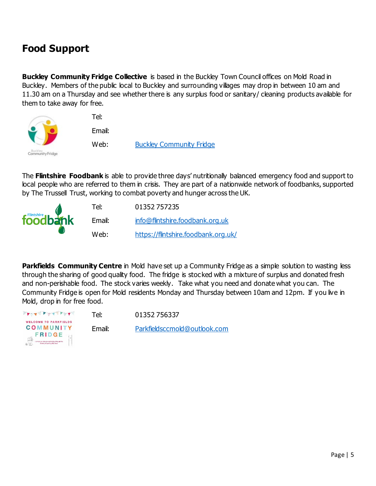# <span id="page-4-0"></span>**Food Support**

**Buckley Community Fridge Collective** is based in the Buckley Town Council offices on Mold Road in Buckley. Members of the public local to Buckley and surrounding villages may drop in between 10 am and 11.30 am on a Thursday and see whether there is any surplus food or sanitary/ cleaning products available for them to take away for free.



The **Flintshire Foodbank** is able to provide three days' nutritionally balanced emergency food and support to local people who are referred to them in crisis. They are part of a nationwide network of foodbanks, supported by The Trussell Trust, working to combat poverty and hunger across the UK.



**Parkfields Community Centre** in Mold have set up a Community Fridge as a simple solution to wasting less through the sharing of good quality food. The fridge is stocked with a mixture of surplus and donated fresh and non-perishable food. The stock varies weekly. Take what you need and donate what you can. The Community Fridge is open for Mold residents Monday and Thursday between 10am and 12pm. If you live in Mold, drop in for free food.

| <b><i>Front Port Port</i></b>                       | Tel:   | 01352756337                  |
|-----------------------------------------------------|--------|------------------------------|
| <b>WELCOME TO PARKFIELDS</b><br>COMMUNITY<br>FRIDGE | Email: | Parkfieldsccmold@outlook.com |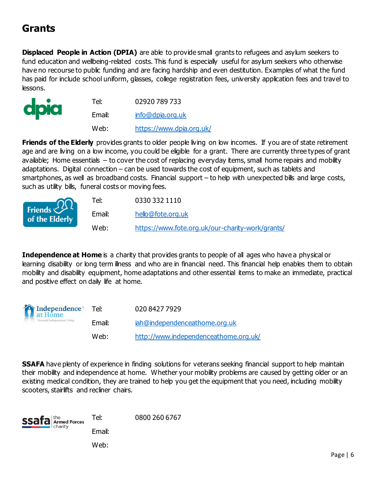# <span id="page-5-0"></span>**Grants**

**Displaced People in Action (DPIA)** are able to provide small grants to refugees and asylum seekers to fund education and wellbeing-related costs. This fund is especially useful for asylum seekers who otherwise have no recourse to public funding and are facing hardship and even destitution. Examples of what the fund has paid for include school uniform, glasses, college registration fees, university application fees and travel to lessons.

|      | Tel:   | 02920 789 733            |
|------|--------|--------------------------|
| dpia | Email: | info@dpia.org.uk         |
|      | Web:   | https://www.dpia.org.uk/ |

**Friends of the Elderly** provides grants to older people living on low incomes. If you are of state retirement age and are living on a low income, you could be eligible for a grant. There are currently three types of grant available; Home essentials – to cover the cost of replacing everyday items, small home repairs and mobility adaptations. Digital connection – can be used towards the cost of equipment, such as tablets and smartphones, as well as broadband costs. Financial support – to help with unexpected bills and large costs, such as utility bills, funeral costs or moving fees.

| Friends $\widehat{QQ}$ | Tel:   | 0330 332 1110                                    |
|------------------------|--------|--------------------------------------------------|
| of the Elderly         | Email: | hello@fote.org.uk                                |
|                        | Web:   | https://www.fote.org.uk/our-charity-work/grants/ |

**Independence at Home** is a charity that provides grants to people of all ages who have a physical or learning disability or long term illness and who are in financial need. This financial help enables them to obtain mobility and disability equipment, home adaptations and other essential items to make an immediate, practical and positive effect on daily life at home.

| Independence <sup>®</sup><br>at Home<br>Towards Independent Living | Tel:   | 020 8427 7929                         |
|--------------------------------------------------------------------|--------|---------------------------------------|
|                                                                    | Email: | iah@independenceathome.org.uk         |
|                                                                    | Web:   | http://www.independenceathome.org.uk/ |

**SSAFA** have plenty of experience in finding solutions for veterans seeking financial support to help maintain their mobility and independence at home. Whether your mobility problems are caused by getting older or an existing medical condition, they are trained to help you get the equipment that you need, including mobility scooters, stairlifts and recliner chairs.

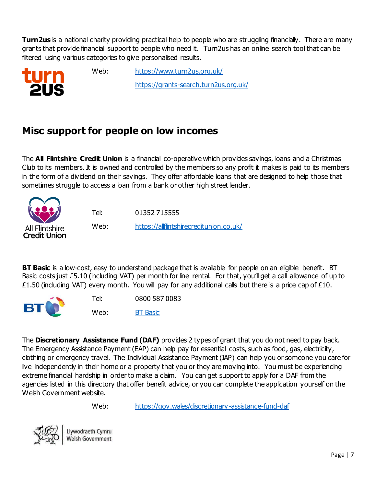**Turn2us** is a national charity providing practical help to people who are struggling financially. There are many grants that provide financial support to people who need it. Turn2us has an online search tool that can be filtered using various categories to give personalised results.



Web: <https://www.turn2us.org.uk/> <https://grants-search.turn2us.org.uk/>

# <span id="page-6-0"></span>**Misc support for people on low incomes**

The **All Flintshire Credit Union** is a financial co-operative which provides savings, loans and a Christmas Club to its members. It is owned and controlled by the members so any profit it makes is paid to its members in the form of a dividend on their savings. They offer affordable loans that are designed to help those that sometimes struggle to access a loan from a bank or other high street lender.



Tel: 01352 715555 Web: <https://allflintshirecreditunion.co.uk/>

**BT Basic** is a low-cost, easy to understand package that is available for people on an eligible benefit. BT Basic costs just £5.10 (including VAT) per month for line rental. For that, you'll get a call allowance of up to £1.50 (including VAT) every month. You will pay for any additional calls but there is a price cap of £10.



The **Discretionary Assistance Fund (DAF)** provides 2 types of grant that you do not need to pay back. The Emergency Assistance Payment (EAP) can help pay for essential costs, such as food, gas, electricity, clothing or emergency travel. The Individual Assistance Payment (IAP) can help you or someone you care for live independently in their home or a property that you or they are moving into. You must be experiencing extreme financial hardship in order to make a claim. You can get support to apply for a DAF from the agencies listed in this directory that offer benefit advice, or you can complete the application yourself on the Welsh Government website.

Web: <https://gov.wales/discretionary-assistance-fund-daf>



Llywodraeth Cymru Welsh Government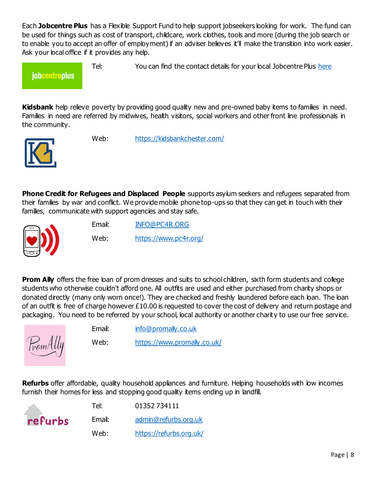Each **Jobcentre Plus** has a Flexible Support Fund to help support jobseekers looking for work. The fund can be used for things such as cost of transport, childcare, work clothes, tools and more (during the job search or to enable you to accept an offer of employment) if an adviser believes it'll make the transition into work easier. Ask your local office if it provides any help.

### **jobcentreplus**

Tel: You can find the contact details for your local Jobcentre Plus [here](https://find-your-nearest-jobcentre.dwp.gov.uk/search.php)

**Kidsbank** help relieve poverty by providing good quality new and pre-owned baby items to families in need. Families in need are referred by midwives, health visitors, social workers and other front line professionals in the community.



Web: <https://kidsbankchester.com/>

**Phone Credit for Refugees and Displaced People** supports asylum seekers and refugees separated from their families by war and conflict. We provide mobile phone top-ups so that they can get in touch with their families, communicate with support agencies and stay safe.



Email: [INFO@PC4R.ORG](mailto:INFO@PC4R.ORG)

Web: <https://www.pc4r.org/>

**Prom Ally** offers the free loan of prom dresses and suits to school children, sixth form students and college students who otherwise couldn't afford one. All outfits are used and either purchased from charity shops or donated directly (many only worn once!). They are checked and freshly laundered before each loan. The loan of an outfit is free of charge however £10.00 is requested to cover the cost of delivery and return postage and packaging. You need to be referred by your school, local authority or another charity to use our free service.



Email: [info@promally.co.uk](mailto:info@promally.co.uk)

Web: <https://www.promally.co.uk/>

**Refurbs** offer affordable, quality household appliances and furniture. Helping households with low incomes furnish their homes for less and stopping good quality items ending up in landfill.

|         | Tel:   | 01352734111             |
|---------|--------|-------------------------|
| refurbs | Email: | admin@refurbs.org.uk    |
|         | Web:   | https://refurbs.org.uk/ |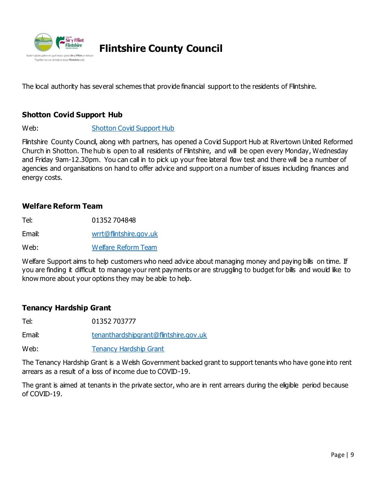

### <span id="page-8-0"></span>**Flintshire County Council**

The local authority has several schemes that provide financial support to the residents of Flintshire.

### **Shotton Covid Support Hub**

Web: [Shotton Covid Support Hub](https://www.flintshire.gov.uk/en/Resident/Council-Apps/NewsPortlet.aspx?id=7118)

Flintshire County Council, along with partners, has opened a Covid Support Hub at Rivertown United Reformed Church in Shotton. The hub is open to all residents of Flintshire, and will be open every Monday, Wednesday and Friday 9am-12.30pm. You can call in to pick up your free lateral flow test and there will be a number of agencies and organisations on hand to offer advice and support on a number of issues including finances and energy costs.

#### **Welfare Reform Team**

Tel: 01352 704848 Email: [wrrt@flintshire.gov.uk](mailto:wrrt@flintshire.gov.uk)

Web: [Welfare Reform Team](https://www.flintshire.gov.uk/en/Resident/Council-Tax-and-Benefits-and-Grants/Welfare-Reform-Team.aspx)

Welfare Support aims to help customers who need advice about managing money and paying bills on time. If you are finding it difficult to manage your rent payments or are struggling to budget for bills and would like to know more about your options they may be able to help.

#### **Tenancy Hardship Grant**

Tel: 01352 703777

Email: [tenanthardshipgrant@flintshire.gov.uk](mailto:tenanthardshipgrant@flintshire.gov.uk)

Web: [Tenancy Hardship Grant](https://www.flintshire.gov.uk/en/Resident/Council-Tax-and-Benefits-and-Grants/Tenancy-Hardship-Grant-for-private-rented-sector-tenants-coronavirus.aspx)

The Tenancy Hardship Grant is a Welsh Government backed grant to support tenants who have gone into rent arrears as a result of a loss of income due to COVID-19.

The grant is aimed at tenants in the private sector, who are in rent arrears during the eligible period because of COVID-19.